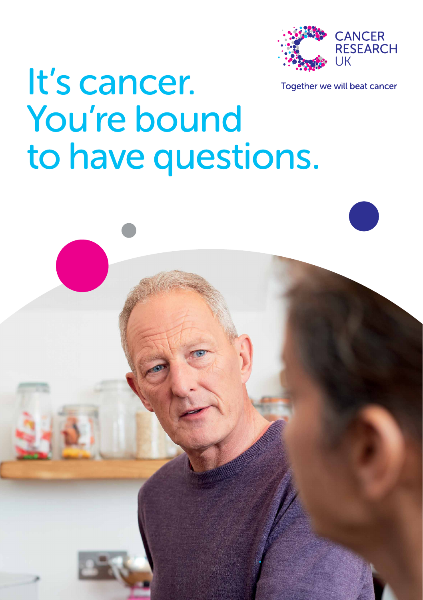

It's cancer. Together we will beat cancer



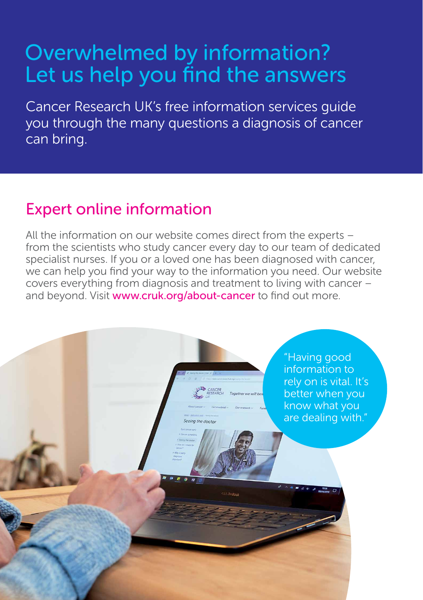# Overwhelmed by information? Let us help you find the answers

Cancer Research UK's free information services guide you through the many questions a diagnosis of cancer can bring.

# Expert online information

All the information on our website comes direct from the experts – from the scientists who study cancer every day to our team of dedicated specialist nurses. If you or a loved one has been diagnosed with cancer, we can help you find your way to the information you need. Our website covers everything from diagnosis and treatment to living with cancer – and beyond. Visit www.cruk.org/about-cancer to find out more.

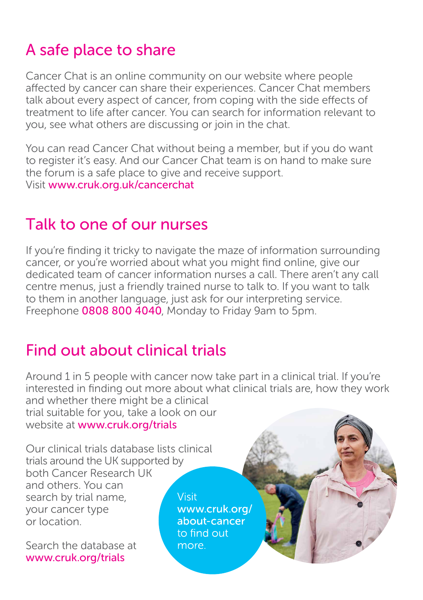# A safe place to share

Cancer Chat is an online community on our website where people affected by cancer can share their experiences. Cancer Chat members talk about every aspect of cancer, from coping with the side effects of treatment to life after cancer. You can search for information relevant to you, see what others are discussing or join in the chat.

You can read Cancer Chat without being a member, but if you do want to register it's easy. And our Cancer Chat team is on hand to make sure the forum is a safe place to give and receive support. Visit www.cruk.org.uk/cancerchat

### Talk to one of our nurses

If you're finding it tricky to navigate the maze of information surrounding cancer, or you're worried about what you might find online, give our dedicated team of cancer information nurses a call. There aren't any call centre menus, just a friendly trained nurse to talk to. If you want to talk to them in another language, just ask for our interpreting service. Freephone 0808 800 4040. Monday to Friday 9am to 5pm.

## Find out about clinical trials

Around 1 in 5 people with cancer now take part in a clinical trial. If you're interested in finding out more about what clinical trials are, how they work and whether there might be a clinical trial suitable for you, take a look on our website at www.cruk.org/trials

Our clinical trials database lists clinical trials around the UK supported by both Cancer Research UK and others. You can search by trial name, **Visit** your cancer type or location.

Search the database at www.cruk.org/trials

www.cruk.org/ about-cancer to find out more.